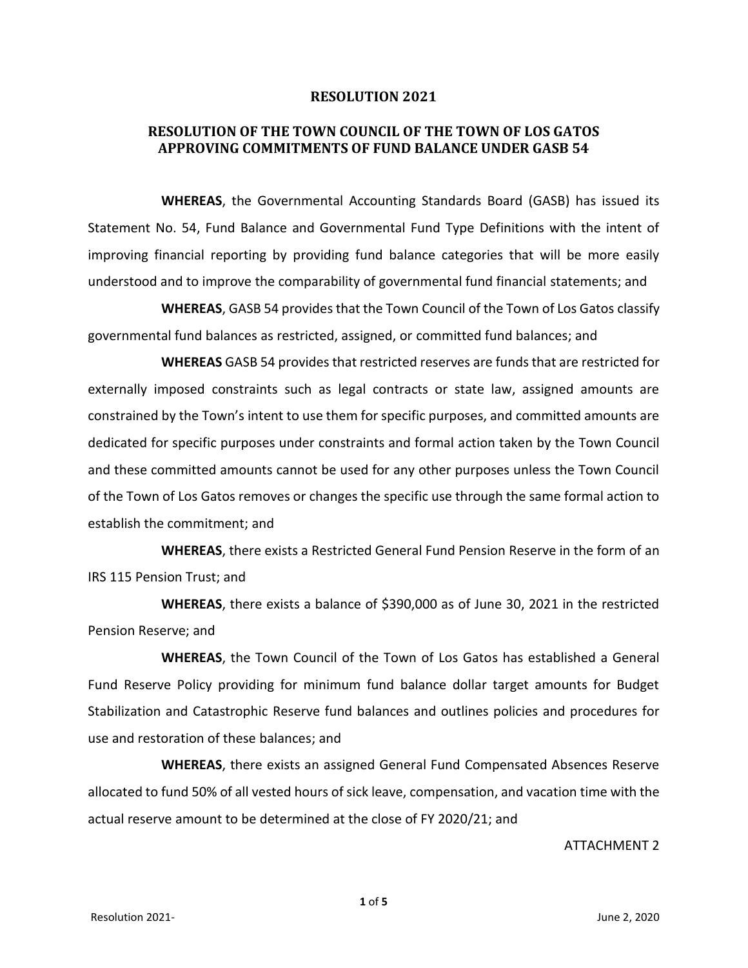## **RESOLUTION 2021**

## **RESOLUTION OF THE TOWN COUNCIL OF THE TOWN OF LOS GATOS APPROVING COMMITMENTS OF FUND BALANCE UNDER GASB 54**

**WHEREAS**, the Governmental Accounting Standards Board (GASB) has issued its Statement No. 54, Fund Balance and Governmental Fund Type Definitions with the intent of improving financial reporting by providing fund balance categories that will be more easily understood and to improve the comparability of governmental fund financial statements; and

**WHEREAS**, GASB 54 provides that the Town Council of the Town of Los Gatos classify governmental fund balances as restricted, assigned, or committed fund balances; and

**WHEREAS** GASB 54 provides that restricted reserves are funds that are restricted for externally imposed constraints such as legal contracts or state law, assigned amounts are constrained by the Town's intent to use them for specific purposes, and committed amounts are dedicated for specific purposes under constraints and formal action taken by the Town Council and these committed amounts cannot be used for any other purposes unless the Town Council of the Town of Los Gatos removes or changes the specific use through the same formal action to establish the commitment; and

**WHEREAS**, there exists a Restricted General Fund Pension Reserve in the form of an IRS 115 Pension Trust; and

**WHEREAS**, there exists a balance of \$390,000 as of June 30, 2021 in the restricted Pension Reserve; and

**WHEREAS**, the Town Council of the Town of Los Gatos has established a General Fund Reserve Policy providing for minimum fund balance dollar target amounts for Budget Stabilization and Catastrophic Reserve fund balances and outlines policies and procedures for use and restoration of these balances; and

**WHEREAS**, there exists an assigned General Fund Compensated Absences Reserve allocated to fund 50% of all vested hours of sick leave, compensation, and vacation time with the actual reserve amount to be determined at the close of FY 2020/21; and

ATTACHMENT 2

**1** of **5**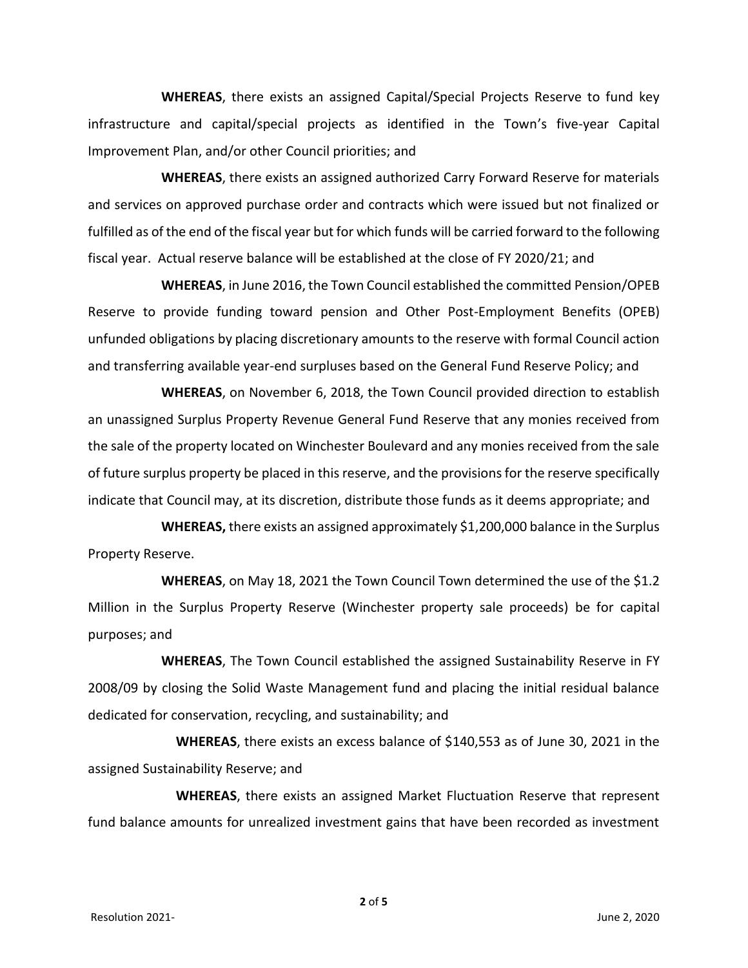**WHEREAS**, there exists an assigned Capital/Special Projects Reserve to fund key infrastructure and capital/special projects as identified in the Town's five-year Capital Improvement Plan, and/or other Council priorities; and

**WHEREAS**, there exists an assigned authorized Carry Forward Reserve for materials and services on approved purchase order and contracts which were issued but not finalized or fulfilled as of the end of the fiscal year but for which funds will be carried forward to the following fiscal year. Actual reserve balance will be established at the close of FY 2020/21; and

**WHEREAS**, in June 2016, the Town Council established the committed Pension/OPEB Reserve to provide funding toward pension and Other Post-Employment Benefits (OPEB) unfunded obligations by placing discretionary amounts to the reserve with formal Council action and transferring available year-end surpluses based on the General Fund Reserve Policy; and

**WHEREAS**, on November 6, 2018, the Town Council provided direction to establish an unassigned Surplus Property Revenue General Fund Reserve that any monies received from the sale of the property located on Winchester Boulevard and any monies received from the sale of future surplus property be placed in this reserve, and the provisions for the reserve specifically indicate that Council may, at its discretion, distribute those funds as it deems appropriate; and

**WHEREAS,** there exists an assigned approximately \$1,200,000 balance in the Surplus Property Reserve.

**WHEREAS**, on May 18, 2021 the Town Council Town determined the use of the \$1.2 Million in the Surplus Property Reserve (Winchester property sale proceeds) be for capital purposes; and

**WHEREAS**, The Town Council established the assigned Sustainability Reserve in FY 2008/09 by closing the Solid Waste Management fund and placing the initial residual balance dedicated for conservation, recycling, and sustainability; and

**WHEREAS**, there exists an excess balance of \$140,553 as of June 30, 2021 in the assigned Sustainability Reserve; and

**WHEREAS**, there exists an assigned Market Fluctuation Reserve that represent fund balance amounts for unrealized investment gains that have been recorded as investment

**2** of **5**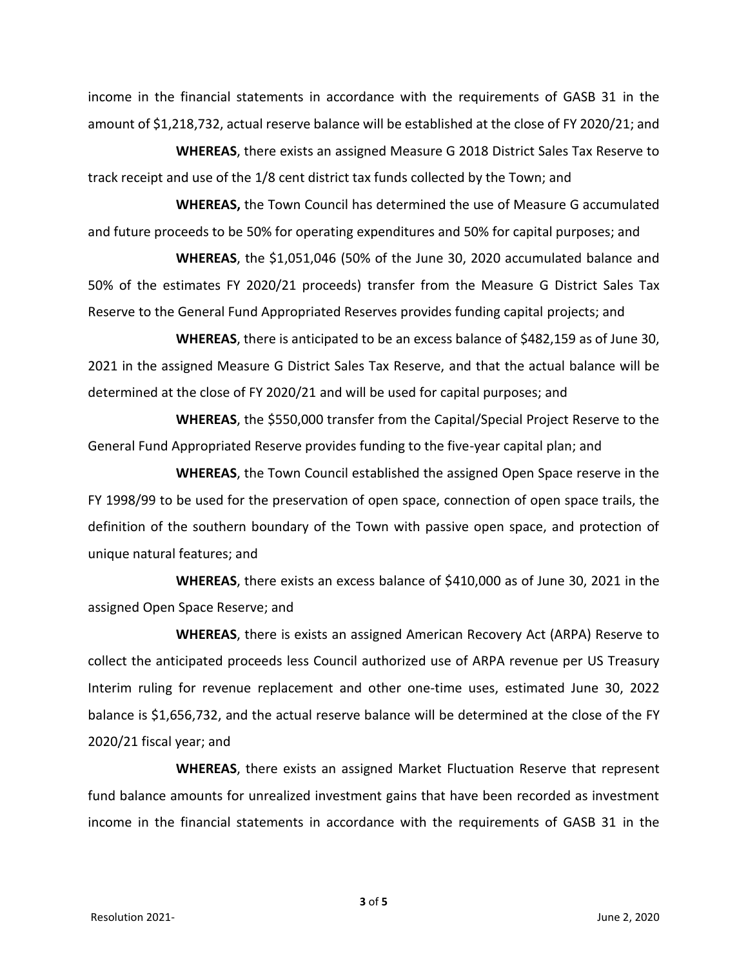income in the financial statements in accordance with the requirements of GASB 31 in the amount of \$1,218,732, actual reserve balance will be established at the close of FY 2020/21; and

**WHEREAS**, there exists an assigned Measure G 2018 District Sales Tax Reserve to track receipt and use of the 1/8 cent district tax funds collected by the Town; and

**WHEREAS,** the Town Council has determined the use of Measure G accumulated and future proceeds to be 50% for operating expenditures and 50% for capital purposes; and

**WHEREAS**, the \$1,051,046 (50% of the June 30, 2020 accumulated balance and 50% of the estimates FY 2020/21 proceeds) transfer from the Measure G District Sales Tax Reserve to the General Fund Appropriated Reserves provides funding capital projects; and

**WHEREAS**, there is anticipated to be an excess balance of \$482,159 as of June 30, 2021 in the assigned Measure G District Sales Tax Reserve, and that the actual balance will be determined at the close of FY 2020/21 and will be used for capital purposes; and

**WHEREAS**, the \$550,000 transfer from the Capital/Special Project Reserve to the General Fund Appropriated Reserve provides funding to the five-year capital plan; and

**WHEREAS**, the Town Council established the assigned Open Space reserve in the FY 1998/99 to be used for the preservation of open space, connection of open space trails, the definition of the southern boundary of the Town with passive open space, and protection of unique natural features; and

**WHEREAS**, there exists an excess balance of \$410,000 as of June 30, 2021 in the assigned Open Space Reserve; and

**WHEREAS**, there is exists an assigned American Recovery Act (ARPA) Reserve to collect the anticipated proceeds less Council authorized use of ARPA revenue per US Treasury Interim ruling for revenue replacement and other one-time uses, estimated June 30, 2022 balance is \$1,656,732, and the actual reserve balance will be determined at the close of the FY 2020/21 fiscal year; and

**WHEREAS**, there exists an assigned Market Fluctuation Reserve that represent fund balance amounts for unrealized investment gains that have been recorded as investment income in the financial statements in accordance with the requirements of GASB 31 in the

**3** of **5**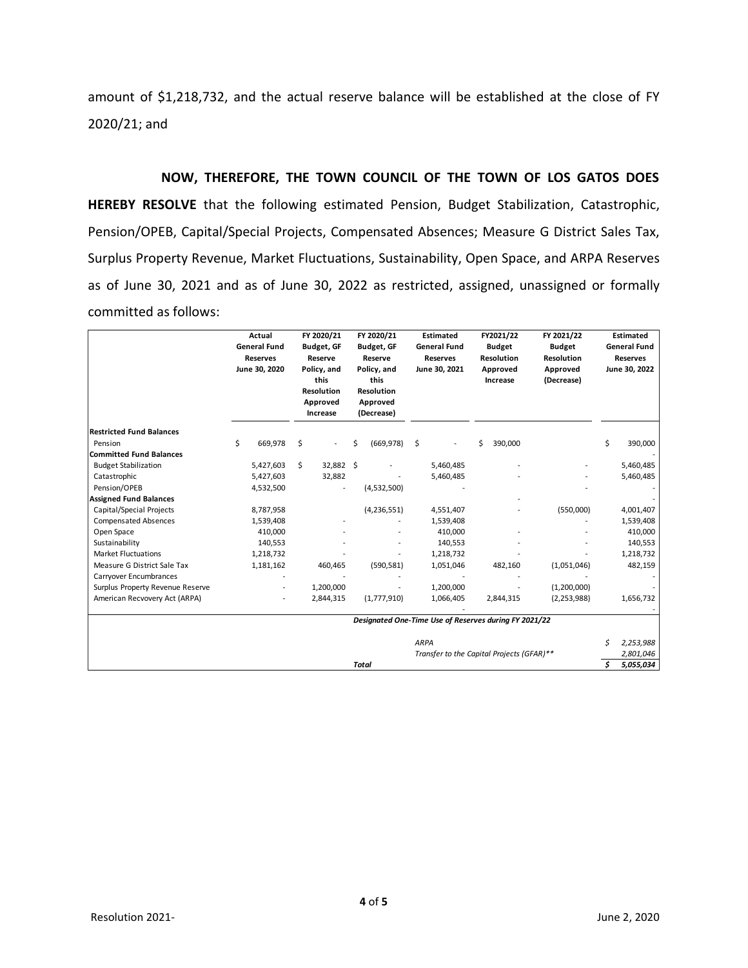amount of \$1,218,732, and the actual reserve balance will be established at the close of FY 2020/21; and

**NOW, THEREFORE, THE TOWN COUNCIL OF THE TOWN OF LOS GATOS DOES HEREBY RESOLVE** that the following estimated Pension, Budget Stabilization, Catastrophic, Pension/OPEB, Capital/Special Projects, Compensated Absences; Measure G District Sales Tax, Surplus Property Revenue, Market Fluctuations, Sustainability, Open Space, and ARPA Reserves as of June 30, 2021 and as of June 30, 2022 as restricted, assigned, unassigned or formally committed as follows:

|                                  | Actual<br><b>General Fund</b><br><b>Reserves</b><br>June 30, 2020 |           | FY 2020/21<br>Budget, GF<br>Reserve<br>Policy, and<br>this<br><b>Resolution</b><br>Approved<br>Increase |                                           | FY 2020/21<br><b>Budget, GF</b><br>Reserve<br>Policy, and<br>this<br><b>Resolution</b><br>Approved<br>(Decrease) |               | Estimated<br><b>General Fund</b><br><b>Reserves</b><br>June 30, 2021 |           | FY2021/22<br><b>Budget</b><br><b>Resolution</b><br>Approved<br>Increase |           | FY 2021/22<br><b>Budget</b><br>Resolution<br>Approved<br>(Decrease) | <b>Estimated</b><br><b>General Fund</b><br><b>Reserves</b><br>June 30, 2022 |           |
|----------------------------------|-------------------------------------------------------------------|-----------|---------------------------------------------------------------------------------------------------------|-------------------------------------------|------------------------------------------------------------------------------------------------------------------|---------------|----------------------------------------------------------------------|-----------|-------------------------------------------------------------------------|-----------|---------------------------------------------------------------------|-----------------------------------------------------------------------------|-----------|
| <b>Restricted Fund Balances</b>  |                                                                   |           |                                                                                                         |                                           |                                                                                                                  |               |                                                                      |           |                                                                         |           |                                                                     |                                                                             |           |
| Pension                          | \$                                                                | 669,978   | Ŝ.                                                                                                      |                                           | Ś                                                                                                                | (669, 978)    | \$                                                                   |           | Ś                                                                       | 390,000   |                                                                     | \$                                                                          | 390,000   |
| <b>Committed Fund Balances</b>   |                                                                   |           |                                                                                                         |                                           |                                                                                                                  |               |                                                                      |           |                                                                         |           |                                                                     |                                                                             |           |
| <b>Budget Stabilization</b>      |                                                                   | 5,427,603 | Ŝ.                                                                                                      | 32,882 \$                                 |                                                                                                                  |               |                                                                      | 5,460,485 |                                                                         |           |                                                                     |                                                                             | 5,460,485 |
| Catastrophic                     |                                                                   | 5,427,603 |                                                                                                         | 32,882                                    |                                                                                                                  |               |                                                                      | 5,460,485 |                                                                         |           |                                                                     |                                                                             | 5,460,485 |
| Pension/OPEB                     |                                                                   | 4,532,500 |                                                                                                         |                                           |                                                                                                                  | (4,532,500)   |                                                                      |           |                                                                         |           |                                                                     |                                                                             |           |
| <b>Assigned Fund Balances</b>    |                                                                   |           |                                                                                                         |                                           |                                                                                                                  |               |                                                                      |           |                                                                         |           |                                                                     |                                                                             |           |
| Capital/Special Projects         |                                                                   | 8,787,958 |                                                                                                         |                                           |                                                                                                                  | (4, 236, 551) |                                                                      | 4,551,407 |                                                                         |           | (550,000)                                                           |                                                                             | 4,001,407 |
| <b>Compensated Absences</b>      |                                                                   | 1,539,408 |                                                                                                         |                                           |                                                                                                                  |               |                                                                      | 1,539,408 |                                                                         |           |                                                                     |                                                                             | 1,539,408 |
| Open Space                       |                                                                   | 410,000   |                                                                                                         |                                           |                                                                                                                  |               |                                                                      | 410,000   |                                                                         |           |                                                                     |                                                                             | 410,000   |
| Sustainability                   |                                                                   | 140,553   |                                                                                                         |                                           |                                                                                                                  |               |                                                                      | 140,553   |                                                                         |           |                                                                     |                                                                             | 140,553   |
| <b>Market Fluctuations</b>       |                                                                   | 1,218,732 |                                                                                                         |                                           |                                                                                                                  |               |                                                                      | 1,218,732 |                                                                         |           |                                                                     |                                                                             | 1,218,732 |
| Measure G District Sale Tax      |                                                                   | 1,181,162 |                                                                                                         | 460,465                                   |                                                                                                                  | (590, 581)    |                                                                      | 1,051,046 |                                                                         | 482,160   | (1,051,046)                                                         |                                                                             | 482,159   |
| Carryover Encumbrances           |                                                                   |           |                                                                                                         |                                           |                                                                                                                  |               |                                                                      |           |                                                                         |           |                                                                     |                                                                             |           |
| Surplus Property Revenue Reserve |                                                                   |           |                                                                                                         | 1,200,000                                 |                                                                                                                  |               |                                                                      | 1,200,000 |                                                                         |           | (1,200,000)                                                         |                                                                             |           |
| American Recvovery Act (ARPA)    |                                                                   |           |                                                                                                         | 2,844,315                                 |                                                                                                                  | (1,777,910)   |                                                                      | 1,066,405 |                                                                         | 2,844,315 | (2, 253, 988)                                                       |                                                                             | 1,656,732 |
|                                  | Designated One-Time Use of Reserves during FY 2021/22             |           |                                                                                                         |                                           |                                                                                                                  |               |                                                                      |           |                                                                         |           |                                                                     |                                                                             |           |
|                                  | <b>ARPA</b>                                                       |           |                                                                                                         |                                           |                                                                                                                  |               |                                                                      |           |                                                                         |           |                                                                     |                                                                             | 2,253,988 |
|                                  |                                                                   |           |                                                                                                         | Transfer to the Capital Projects (GFAR)** |                                                                                                                  |               |                                                                      |           |                                                                         |           |                                                                     |                                                                             | 2,801,046 |
|                                  |                                                                   |           | <b>Total</b>                                                                                            |                                           |                                                                                                                  |               |                                                                      |           |                                                                         |           |                                                                     |                                                                             | 5,055,034 |